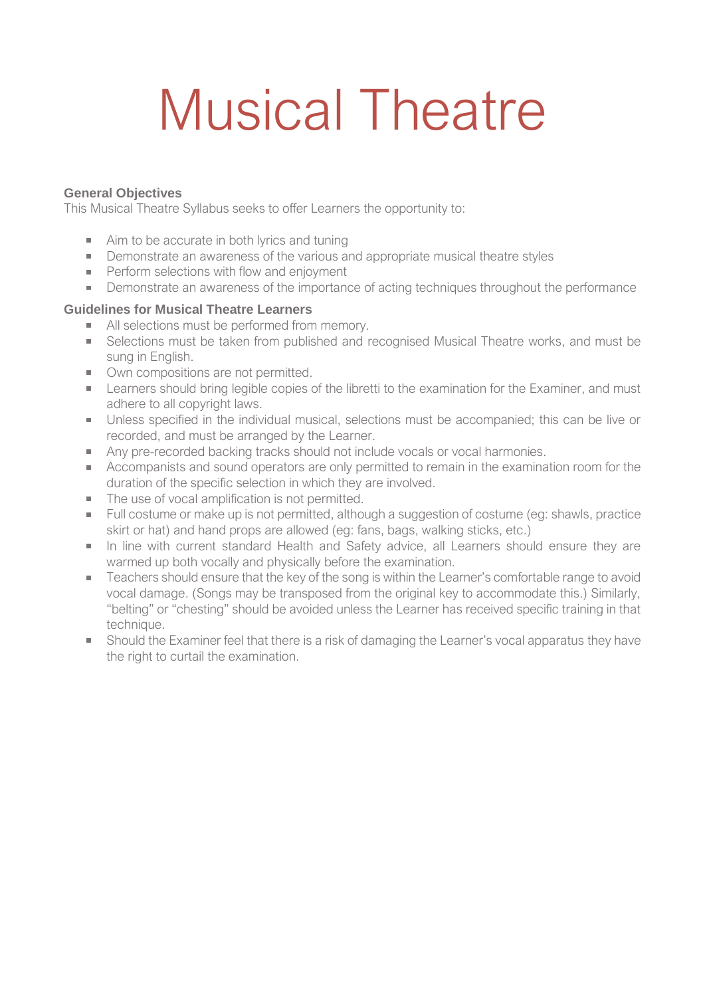# Musical Theatre

#### **General Objectives**

This Musical Theatre Syllabus seeks to offer Learners the opportunity to:

- Aim to be accurate in both lyrics and tuning
- **•** Demonstrate an awareness of the various and appropriate musical theatre styles
- **Perform selections with flow and enjoyment**
- **Demonstrate an awareness of the importance of acting techniques throughout the performance**

#### **Guidelines for Musical Theatre Learners**

- All selections must be performed from memory.
- Selections must be taken from published and recognised Musical Theatre works, and must be sung in English.
- Own compositions are not permitted.
- **EXAM** Learners should bring legible copies of the libretti to the examination for the Examiner, and must adhere to all copyright laws.
- Unless specified in the individual musical, selections must be accompanied; this can be live or recorded, and must be arranged by the Learner.
- Any pre-recorded backing tracks should not include vocals or vocal harmonies.
- **EXECOMPANISTS** Accompanists and sound operators are only permitted to remain in the examination room for the duration of the specific selection in which they are involved.
- The use of vocal amplification is not permitted.
- Full costume or make up is not permitted, although a suggestion of costume (eg: shawls, practice skirt or hat) and hand props are allowed (eg: fans, bags, walking sticks, etc.)
- In line with current standard Health and Safety advice, all Learners should ensure they are warmed up both vocally and physically before the examination.
- Teachers should ensure that the key of the song is within the Learner's comfortable range to avoid vocal damage. (Songs may be transposed from the original key to accommodate this.) Similarly, "belting" or "chesting" should be avoided unless the Learner has received specific training in that technique.
- Should the Examiner feel that there is a risk of damaging the Learner's vocal apparatus they have the right to curtail the examination.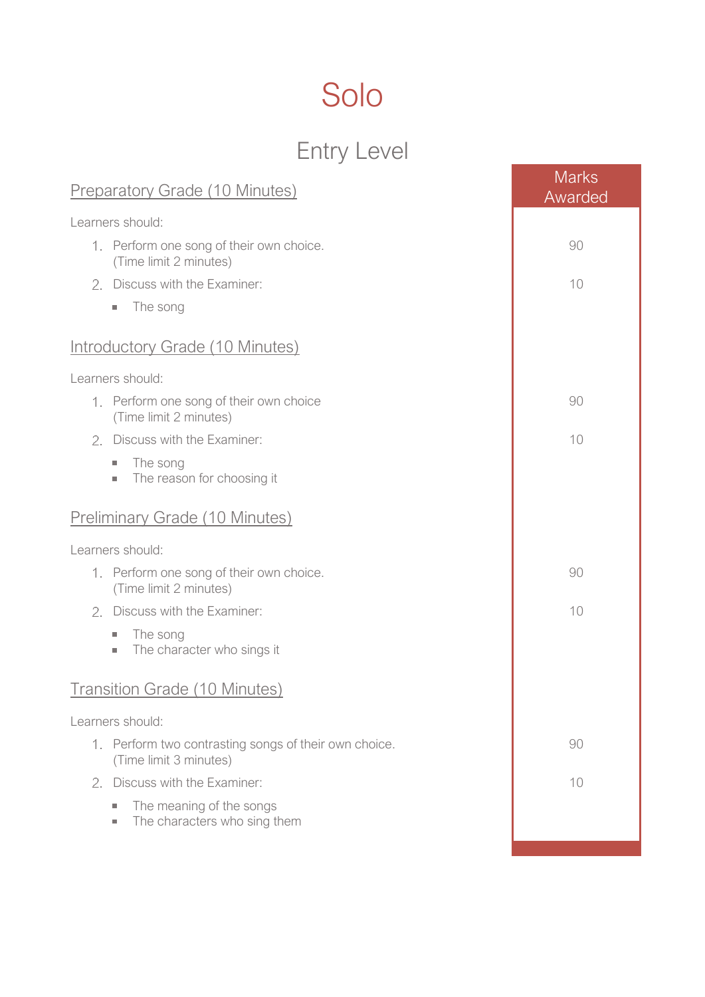## Solo

## Entry Level

| <b>Preparatory Grade (10 Minutes)</b>                                                                | <b>Marks</b><br>Awarded |
|------------------------------------------------------------------------------------------------------|-------------------------|
| Learners should:                                                                                     |                         |
| 1. Perform one song of their own choice.<br>(Time limit 2 minutes)                                   | 90                      |
| 2. Discuss with the Examiner:                                                                        | 10                      |
| The song<br>×.                                                                                       |                         |
| <b>Introductory Grade (10 Minutes)</b>                                                               |                         |
| Learners should:                                                                                     |                         |
| 1. Perform one song of their own choice<br>(Time limit 2 minutes)                                    | 90                      |
| Discuss with the Examiner:<br>2.                                                                     | 10                      |
| The song<br>$\mathcal{L}_{\mathcal{A}}$<br>The reason for choosing it<br>$\mathcal{L}_{\mathcal{A}}$ |                         |
| <b>Preliminary Grade (10 Minutes)</b>                                                                |                         |
| Learners should:                                                                                     |                         |
| 1. Perform one song of their own choice.<br>(Time limit 2 minutes)                                   | 90                      |
| Discuss with the Examiner:<br>2.                                                                     | 10                      |
| The song<br>$\mathcal{L}_{\mathcal{A}}$<br>The character who sings it<br>×.                          |                         |
| <b>Transition Grade (10 Minutes)</b>                                                                 |                         |
| Learners should:                                                                                     |                         |
| 1. Perform two contrasting songs of their own choice.<br>(Time limit 3 minutes)                      | 90                      |
| 2. Discuss with the Examiner:                                                                        | 10                      |
| The meaning of the songs<br>a.<br>The characters who sing them<br>$\mathcal{L}_{\mathcal{A}}$        |                         |
|                                                                                                      |                         |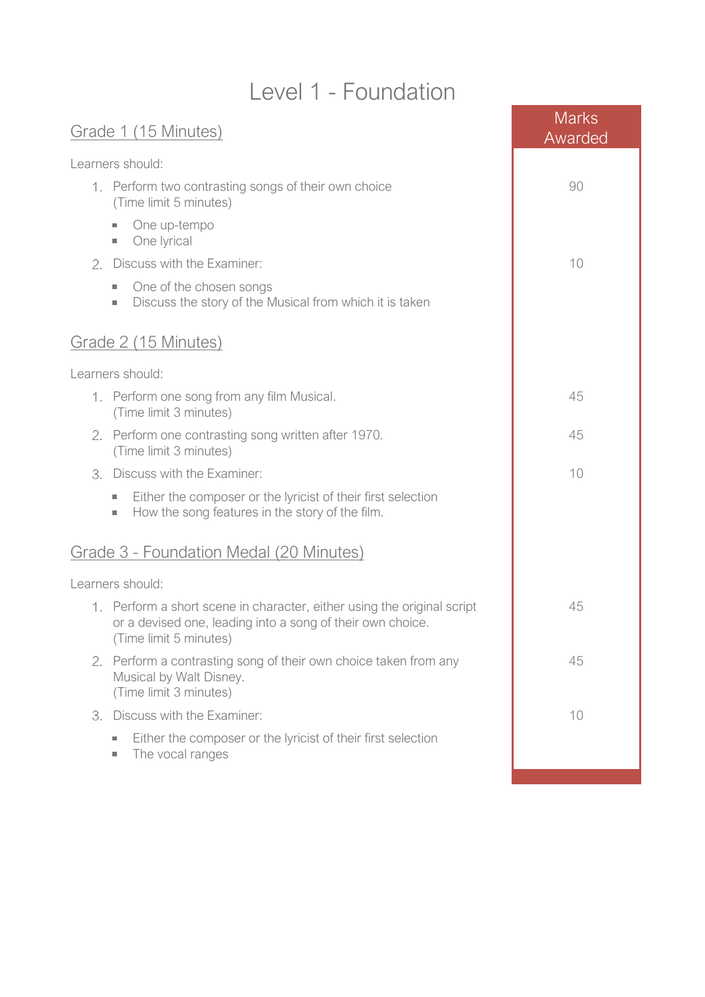### Level 1 - Foundation

| Grade 1 (15 Minutes)                                                                                                                                            | <b>Marks</b><br>Awarded |
|-----------------------------------------------------------------------------------------------------------------------------------------------------------------|-------------------------|
| Learners should:                                                                                                                                                |                         |
| 1. Perform two contrasting songs of their own choice<br>(Time limit 5 minutes)                                                                                  | 90                      |
| One up-tempo<br>×.<br>One lyrical<br>$\mathcal{L}_{\mathcal{A}}$                                                                                                |                         |
| Discuss with the Examiner:<br>2.                                                                                                                                | 10                      |
| One of the chosen songs<br>$\mathcal{L}_{\mathcal{A}}$<br>Discuss the story of the Musical from which it is taken<br>$\mathcal{L}_{\mathcal{A}}$                |                         |
| Grade 2 (15 Minutes)                                                                                                                                            |                         |
| Learners should:                                                                                                                                                |                         |
| 1. Perform one song from any film Musical.<br>(Time limit 3 minutes)                                                                                            | 45                      |
| 2. Perform one contrasting song written after 1970.<br>(Time limit 3 minutes)                                                                                   | 45                      |
| Discuss with the Examiner:<br>З.                                                                                                                                | 10                      |
| Either the composer or the lyricist of their first selection<br>×.<br>How the song features in the story of the film.<br>$\sim$                                 |                         |
| Grade 3 - Foundation Medal (20 Minutes)                                                                                                                         |                         |
| Learners should:                                                                                                                                                |                         |
| 1. Perform a short scene in character, either using the original script<br>or a devised one, leading into a song of their own choice.<br>(Time limit 5 minutes) | 45                      |
| 2. Perform a contrasting song of their own choice taken from any<br>Musical by Walt Disney.<br>(Time limit 3 minutes)                                           | 45                      |
| Discuss with the Examiner:<br>З.                                                                                                                                | 10                      |
| Either the composer or the lyricist of their first selection<br>×.<br>The vocal ranges<br>×.                                                                    |                         |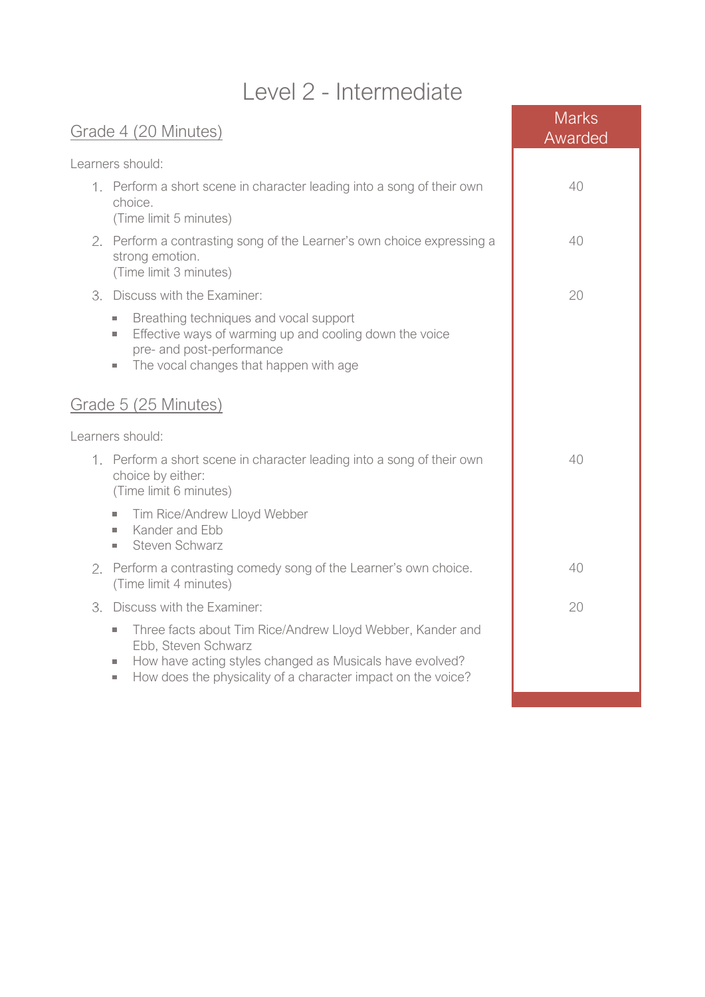### Level 2 - Intermediate

|                  | Grade 4 (20 Minutes)                                                                                                                                                                                                                                                                         | <b>Marks</b><br>Awarded |
|------------------|----------------------------------------------------------------------------------------------------------------------------------------------------------------------------------------------------------------------------------------------------------------------------------------------|-------------------------|
| Learners should: |                                                                                                                                                                                                                                                                                              |                         |
|                  | 1. Perform a short scene in character leading into a song of their own<br>choice.<br>(Time limit 5 minutes)                                                                                                                                                                                  | 40                      |
|                  | 2. Perform a contrasting song of the Learner's own choice expressing a<br>strong emotion.<br>(Time limit 3 minutes)                                                                                                                                                                          | 40                      |
|                  | 3. Discuss with the Examiner:                                                                                                                                                                                                                                                                | 20                      |
|                  | Breathing techniques and vocal support<br>$\mathcal{L}_{\mathcal{A}}$<br>Effective ways of warming up and cooling down the voice<br>$\mathcal{L}_{\mathcal{A}}$<br>pre- and post-performance<br>The vocal changes that happen with age<br>×,                                                 |                         |
|                  | Grade 5 (25 Minutes)                                                                                                                                                                                                                                                                         |                         |
|                  | Learners should:                                                                                                                                                                                                                                                                             |                         |
|                  | 1. Perform a short scene in character leading into a song of their own<br>choice by either:<br>(Time limit 6 minutes)                                                                                                                                                                        | 40                      |
|                  | Tim Rice/Andrew Lloyd Webber<br>$\mathcal{L}_{\mathcal{A}}$<br>Kander and Ebb<br>×.<br>Steven Schwarz<br>×.                                                                                                                                                                                  |                         |
| 2.               | Perform a contrasting comedy song of the Learner's own choice.<br>(Time limit 4 minutes)                                                                                                                                                                                                     | 40                      |
| З.               | Discuss with the Examiner:                                                                                                                                                                                                                                                                   | 20                      |
|                  | Three facts about Tim Rice/Andrew Lloyd Webber, Kander and<br>$\mathcal{L}_{\mathcal{A}}$<br>Ebb, Steven Schwarz<br>How have acting styles changed as Musicals have evolved?<br>$\mathcal{L}_{\mathcal{A}}$<br>How does the physicality of a character impact on the voice?<br>$\mathcal{L}$ |                         |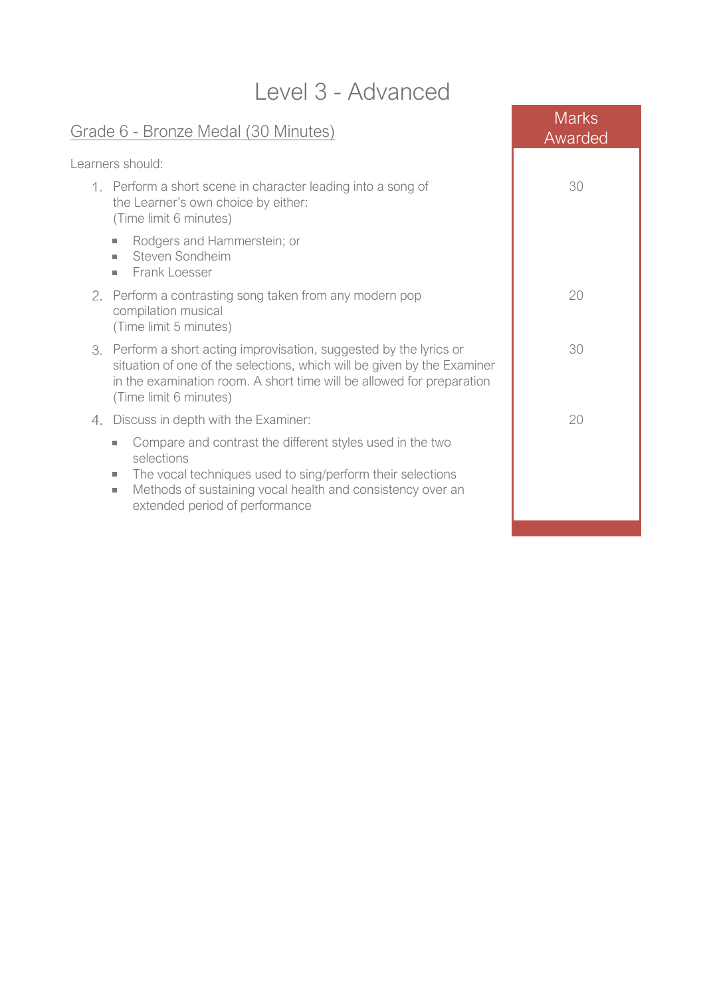| Level 3 - Advanced                                                                                                                                                                                                                                                                                       |                         |  |
|----------------------------------------------------------------------------------------------------------------------------------------------------------------------------------------------------------------------------------------------------------------------------------------------------------|-------------------------|--|
| Grade 6 - Bronze Medal (30 Minutes)                                                                                                                                                                                                                                                                      | <b>Marks</b><br>Awarded |  |
| Learners should:                                                                                                                                                                                                                                                                                         |                         |  |
| 1. Perform a short scene in character leading into a song of<br>the Learner's own choice by either:<br>(Time limit 6 minutes)                                                                                                                                                                            | 30                      |  |
| Rodgers and Hammerstein; or<br>×.<br>Steven Sondheim<br>×.<br>Frank Loesser<br>٠                                                                                                                                                                                                                         |                         |  |
| 2. Perform a contrasting song taken from any modern pop<br>compilation musical<br>(Time limit 5 minutes)                                                                                                                                                                                                 | 20                      |  |
| 3. Perform a short acting improvisation, suggested by the lyrics or<br>situation of one of the selections, which will be given by the Examiner<br>in the examination room. A short time will be allowed for preparation<br>(Time limit 6 minutes)                                                        | 30                      |  |
| Discuss in depth with the Examiner:<br>4.                                                                                                                                                                                                                                                                | 20                      |  |
| Compare and contrast the different styles used in the two<br>$\mathcal{L}_{\mathcal{A}}$<br>selections<br>The vocal techniques used to sing/perform their selections<br>$\mathcal{L}_{\mathcal{A}}$<br>Methods of sustaining vocal health and consistency over an<br>ш<br>extended period of performance |                         |  |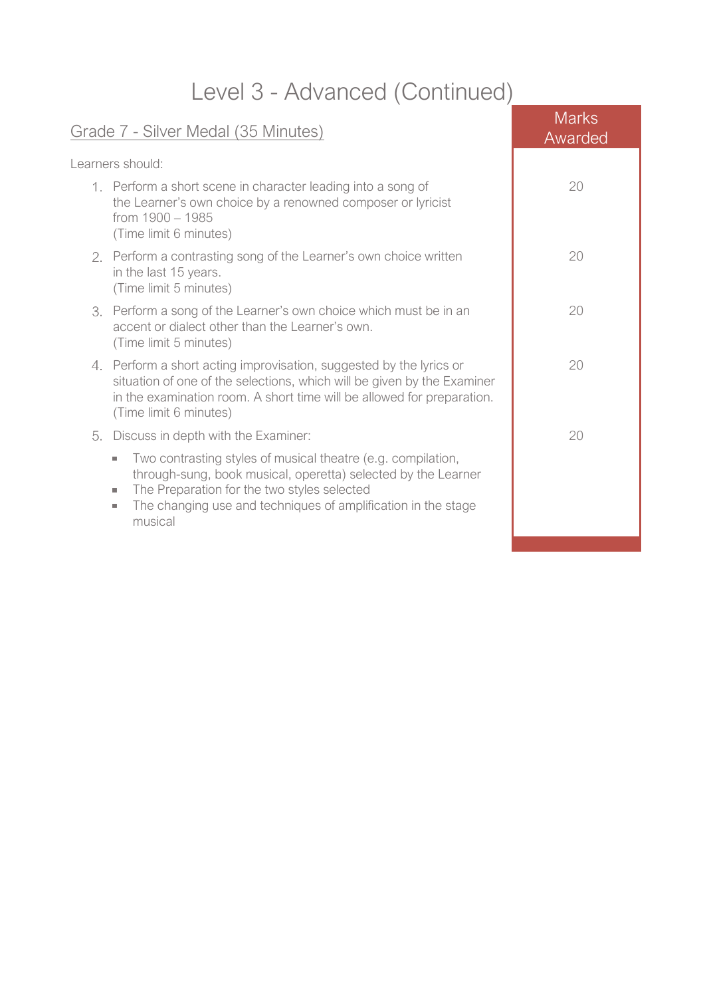## Level 3 - Advanced (Continued)

| Learners should:                                                                                                                                                                                                                                                                                  |    |
|---------------------------------------------------------------------------------------------------------------------------------------------------------------------------------------------------------------------------------------------------------------------------------------------------|----|
| 1. Perform a short scene in character leading into a song of<br>the Learner's own choice by a renowned composer or lyricist<br>from 1900 - 1985<br>(Time limit 6 minutes)                                                                                                                         | 20 |
| 2. Perform a contrasting song of the Learner's own choice written<br>in the last 15 years.<br>(Time limit 5 minutes)                                                                                                                                                                              | 20 |
| 3. Perform a song of the Learner's own choice which must be in an<br>accent or dialect other than the Learner's own.<br>(Time limit 5 minutes)                                                                                                                                                    | 20 |
| 4. Perform a short acting improvisation, suggested by the lyrics or<br>situation of one of the selections, which will be given by the Examiner<br>in the examination room. A short time will be allowed for preparation.<br>(Time limit 6 minutes)                                                | 20 |
| Discuss in depth with the Examiner:<br>5.                                                                                                                                                                                                                                                         | 20 |
| Two contrasting styles of musical theatre (e.g. compilation,<br>$\mathcal{L}_{\mathcal{A}}$<br>through-sung, book musical, operetta) selected by the Learner<br>The Preparation for the two styles selected<br>ш<br>The changing use and techniques of amplification in the stage<br>ш<br>musical |    |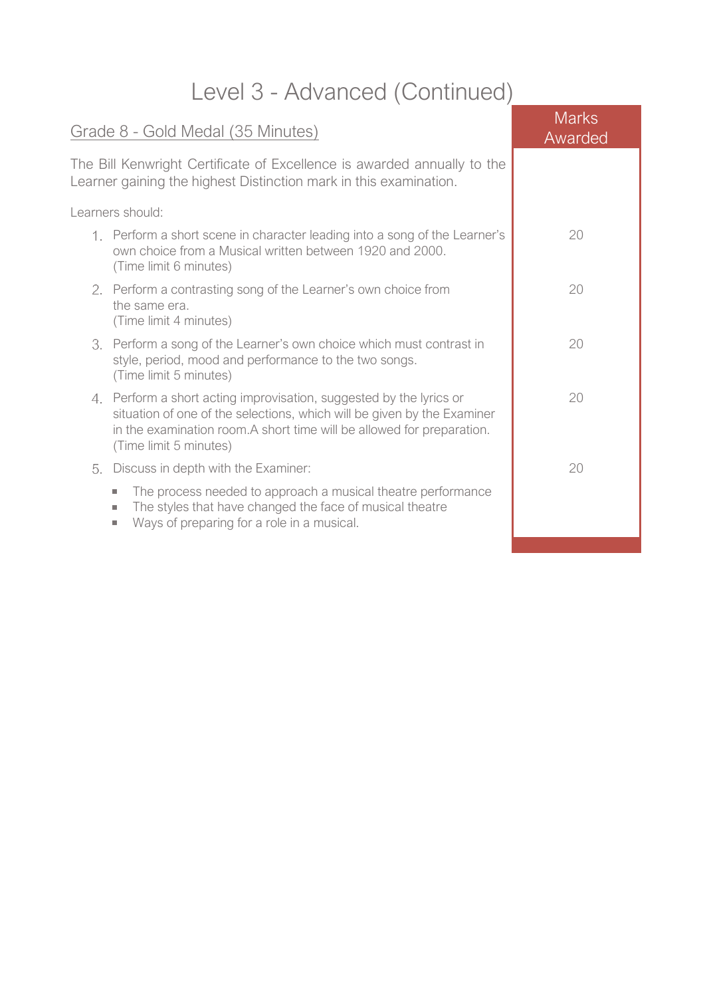## Level 3 - Advanced (Continued)

| Grade 8 - Gold Medal (35 Minutes)                                                                                                                                                                                                                  | <b>Marks</b><br>Awarded |
|----------------------------------------------------------------------------------------------------------------------------------------------------------------------------------------------------------------------------------------------------|-------------------------|
| The Bill Kenwright Certificate of Excellence is awarded annually to the<br>Learner gaining the highest Distinction mark in this examination.                                                                                                       |                         |
| Learners should:                                                                                                                                                                                                                                   |                         |
| 1. Perform a short scene in character leading into a song of the Learner's<br>own choice from a Musical written between 1920 and 2000.<br>(Time limit 6 minutes)                                                                                   | 20                      |
| 2. Perform a contrasting song of the Learner's own choice from<br>the same era.<br>(Time limit 4 minutes)                                                                                                                                          | 20                      |
| 3. Perform a song of the Learner's own choice which must contrast in<br>style, period, mood and performance to the two songs.<br>(Time limit 5 minutes)                                                                                            | 20                      |
| 4. Perform a short acting improvisation, suggested by the lyrics or<br>situation of one of the selections, which will be given by the Examiner<br>in the examination room. A short time will be allowed for preparation.<br>(Time limit 5 minutes) | 20                      |
| 5. Discuss in depth with the Examiner:                                                                                                                                                                                                             | 20                      |
| The process needed to approach a musical theatre performance<br><b>COL</b><br>The styles that have changed the face of musical theatre<br>×.<br>Ways of preparing for a role in a musical.<br>a.                                                   |                         |
|                                                                                                                                                                                                                                                    |                         |